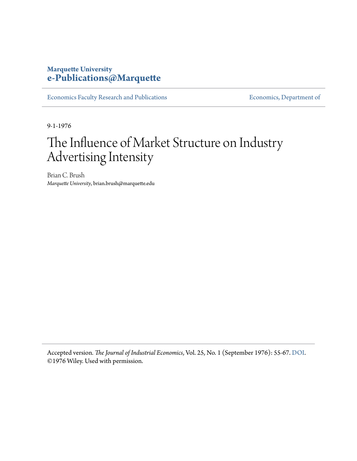## **Marquette University [e-Publications@Marquette](https://epublications.marquette.edu)**

[Economics Faculty Research and Publications](https://epublications.marquette.edu/econ_fac) **Economics**, Department of

9-1-1976

## The Influence of Market Structure on Industry Advertising Intensity

Brian C. Brush *Marquette University*, brian.brush@marquette.edu

Accepted version*. The Journal of Industrial Economics*, Vol. 25, No. 1 (September 1976): 55-67. [DOI](https://doi.org/10.2307/2097897). ©1976 Wiley. Used with permission.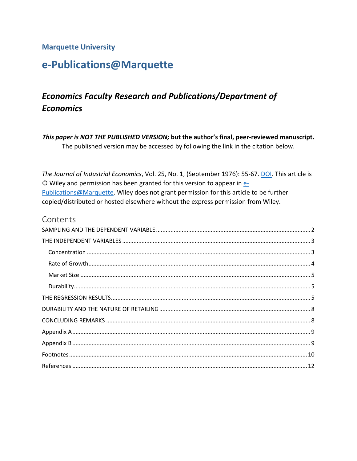#### **Marquette University**

## e-Publications@Marquette

## **Economics Faculty Research and Publications/Department of Economics**

This paper is NOT THE PUBLISHED VERSION; but the author's final, peer-reviewed manuscript. The published version may be accessed by following the link in the citation below.

The Journal of Industrial Economics, Vol. 25, No. 1, (September 1976): 55-67. DOI. This article is © Wiley and permission has been granted for this version to appear in e-Publications@Marquette. Wiley does not grant permission for this article to be further copied/distributed or hosted elsewhere without the express permission from Wiley.

#### Contents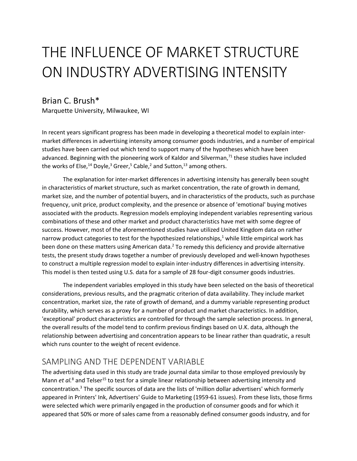# THE INFLUENCE OF MARKET STRUCTURE ON INDUSTRY ADVERTISING INTENSITY

### Brian C. Brush\*

Marquette University, Milwaukee, WI

 studies have been carried out which tend to support many of the hypotheses which have been the works of Else,<sup>14</sup> Doyle,<sup>3</sup> Greer,<sup>5</sup> Cable,<sup>2</sup> and Sutton,<sup>13</sup> among others. In recent years significant progress has been made in developing a theoretical model to explain intermarket differences in advertising intensity among consumer goods industries, and a number of empirical advanced. Beginning with the pioneering work of Kaldor and Silverman,<sup>71</sup> these studies have included

 The explanation for inter-market differences in advertising intensity has generally been sought market size, and the number of potential buyers, and in characteristics of the products, such as purchase frequency, unit price, product complexity, and the presence or absence of 'emotional' buying motives combinations of these and other market and product characteristics have met with some degree of success. However, most of the aforementioned studies have utilized United Kingdom data on rather narrow product categories to test for the hypothesized relationships,<sup>1</sup> while little empirical work has been done on these matters using American data.<sup>2</sup> To remedy this deficiency and provide alternative to construct a multiple regression model to explain inter-industry differences in advertising intensity. in characteristics of market structure, such as market concentration, the rate of growth in demand, associated with the products. Regression models employing independent variables representing various tests, the present study draws together a number of previously developed and well-known hypotheses This model is then tested using U.S. data for a sample of 28 four-digit consumer goods industries.

 The independent variables employed in this study have been selected on the basis of theoretical considerations, previous results, and the pragmatic criterion of data availability. They include market durability, which serves as a proxy for a number of product and market characteristics. In addition, the overall results of the model tend to confirm previous findings based on U.K. data, although the which runs counter to the weight of recent evidence. concentration, market size, the rate of growth of demand, and a dummy variable representing product 'exceptional' product characteristics are controlled for through the sample selection process. In general, relationship between advertising and concentration appears to be linear rather than quadratic, a result

## <span id="page-2-0"></span>SAMPLING AND THE DEPENDENT VARIABLE

Mann *et al.*<sup>8</sup> and Telser<sup>15</sup> to test for a simple linear relationship between advertising intensity and appeared in Printers' Ink, Advertisers' Guide to Marketing (1959-61 issues). From these lists, those firms were selected which were primarily engaged in the production of consumer goods and for which it appeared that 50% or more of sales came from a reasonably defined consumer goods industry, and for The advertising data used in this study are trade journal data similar to those employed previously by concentration.3 The specific sources of data are the lists of 'million dollar advertisers' which formerly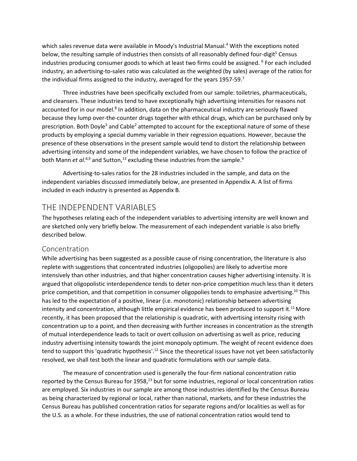industry, an advertising-to-sales ratio was calculated as the weighted (by sales) average of the ratios for which sales revenue data were available in Moody's Industrial Manual.<sup>4</sup> With the exceptions noted below, the resulting sample of industries then consists of all reasonably defined four-digit<sup>5</sup> Census industries producing consumer goods to which at least two firms could be assigned. <sup>6</sup> For each included the individual firms assigned to the industry, averaged for the years 1957-59.7

 because they lump over-the-counter drugs together with ethical drugs, which can be purchased only by prescription. Both Doyle<sup>3</sup> and Cable<sup>2</sup> attempted to account for the exceptional nature of some of these Three industries have been specifically excluded from our sample: toiletries, pharmaceuticals, and cleansers. These industries tend to have exceptionally high advertising intensities for reasons not accounted for in our model.<sup>8</sup> In addition, data on the pharmaceutical industry are seriously flawed products by employing a special dummy variable in their regression equations. However, because the presence of these observations in the present sample would tend to distort the relationship between advertising intensity and some of the independent variables, we have chosen to follow the practice of both Mann *et al.*<sup>8,9</sup> and Sutton,<sup>13</sup> excluding these industries from the sample.<sup>9</sup>

 Advertising-to-sales ratios for the 28 industries included in the sample, and data on the independent variables discussed immediately below, are presented in Appendix A. A list of firms included in each industry is presented as Appendix B.

## <span id="page-3-0"></span>THE INDEPENDENT VARIABLES

 are sketched only very briefly below. The measurement of each independent variable is also briefly The hypotheses relating each of the independent variables to advertising intensity are well known and described below.

#### <span id="page-3-1"></span>Concentration

 replete with suggestions that concentrated industries (oligopolies) are likely to advertise more price competition, and that competition in consumer oligopolies tends to emphasize advertising.<sup>10</sup> This recently, it has been proposed that the relationship is quadratic, with advertising intensity rising with industry advertising intensity towards the joint monopoly optimum. The weight of recent evidence does While advertising has been suggested as a possible cause of rising concentration, the literature is also intensively than other industries, and that higher concentration causes higher advertising intensity. It is argued that oligopolistic interdependence tends to deter non-price competition much less than it deters has led to the expectation of a positive, linear (i.e. monotonic) relationship between advertising intensity and concentration, although little empirical evidence has been produced to support it.<sup>11</sup> More concentration up to a point, and then decreasing with further increases in concentration as the strength of mutual interdependence leads to tacit or overt collusion on advertising as well as price, reducing tend to support this 'quadratic hypothesis'.<sup>12</sup> Since the theoretical issues have not yet been satisfactorily resolved, we shall test both the linear and quadratic formulations with our sample data.

 are employed. Six industries in our sample are among those industries identified by the Census Bureau as being characterized by regional or local, rather than national, markets, and for these industries the The measure of concentration used is generally the four-firm national concentration ratio reported by the Census Bureau for 1958,<sup>13</sup> but for some industries, regional or local concentration ratios Census Bureau has published concentration ratios for separate regions and/or localities as well as for the U.S. as a whole. For these industries, the use of national concentration ratios would tend to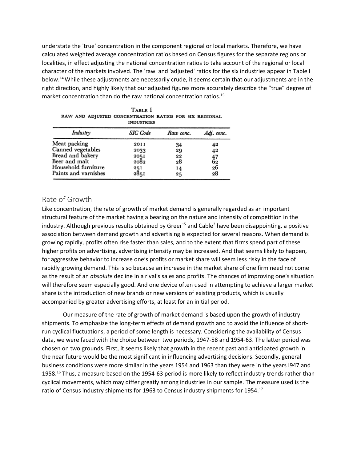calculated weighted average concentration ratios based on Census figures for the separate regions or below.<sup>14</sup> While these adjustments are necessarily crude, it seems certain that our adjustments are in the right direction, and highly likely that our adjusted figures more accurately describe the "true" degree of understate the 'true' concentration in the component regional or local markets. Therefore, we have localities, in effect adjusting the national concentration ratios to take account of the regional or local character of the markets involved. The 'raw' and 'adjusted' ratios for the six industries appear in Table I market concentration than do the raw national concentration ratios.<sup>15</sup>

| <b>INDUSTRIES</b>    |                 |           |              |  |  |  |
|----------------------|-----------------|-----------|--------------|--|--|--|
| Industry             | <b>SIC</b> Code | Raw conc. | Adj. conc.   |  |  |  |
| Meat packing         | 20 I I          | 34        | 42           |  |  |  |
| Canned vegetables    | 2033            | 29        | 42           |  |  |  |
| Bread and bakery     | 2051            | 22        |              |  |  |  |
| Beer and malt        | 2082            | 28        | $^{47}_{62}$ |  |  |  |
| Household furniture  |                 | 14        | 26           |  |  |  |
| Paints and varnishes | 251<br>2851     | 25        | 28           |  |  |  |

| Table I |  |  |                                                        |  |  |  |
|---------|--|--|--------------------------------------------------------|--|--|--|
|         |  |  | RAW AND ADJUSTED CONCENTRATION RATIOS FOR SIX REGIONAL |  |  |  |
|         |  |  | <b>INDUSTRIES</b>                                      |  |  |  |

#### <span id="page-4-0"></span>Rate of Growth

 structural feature of the market having a bearing on the nature and intensity of competition in the industry. Although previous results obtained by Greer<sup>15</sup> and Cable<sup>2</sup> have been disappointing, a positive growing rapidly, profits often rise faster than sales, and to the extent that firms spend part of these as the result of an *absolute* decline in a rival's sales and profits. The chances of improving one's situation will therefore seem especially good. And one device often used in attempting to achieve a larger market share is the introduction of new brands or new versions of existing products, which is usually Like concentration, the rate of growth of market demand is generally regarded as an important association between demand growth and advertising is expected for several reasons. When demand is higher profits on advertising, advertising intensity may be increased. And that seems likely to happen, for aggressive behavior to increase one's profits or market share will seem less risky in the face of rapidly growing demand. This is so because an increase in the market share of one firm need not come accompanied by greater advertising efforts, at least for an initial period.

 Our measure of the rate of growth of market demand is based upon the growth of industry shipments. To emphasize the long-term effects of demand growth and to avoid the influence of short- data, we were faced with the choice between two periods, 1947-58 and 1954-63. The latter period was business conditions were more similar in the years 1954 and 1963 than they were in the years I947 and 1958.<sup>16</sup> Thus, a measure based on the 1954-63 period is more likely to reflect industry trends rather than cyclical movements, which may differ greatly among industries in our sample. The measure used is the run cyclical fluctuations, a period of some length is necessary. Considering the availability of Census chosen on two grounds. First, it seems likely that growth in the recent past and anticipated growth in the near future would be the most significant in influencing advertising decisions. Secondly, general ratio of Census industry shipments for 1963 to Census industry shipments for 1954.<sup>17</sup>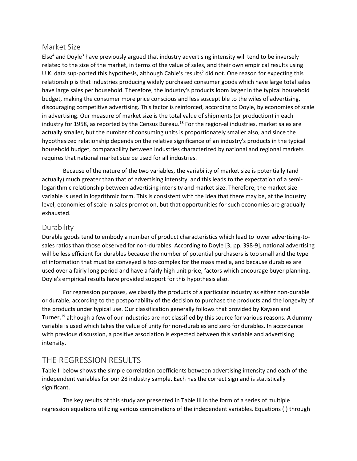#### <span id="page-5-0"></span>Market Size

Else<sup>4</sup> and Doyle<sup>3</sup> have previously argued that industry advertising intensity will tend to be inversely related to the size of the market, in terms of the value of sales, and their own empirical results using budget, making the consumer more price conscious and less susceptible to the wiles of advertising, in advertising. Our measure of market size is the total value of shipments (or production) in each hypothesized relationship depends on the relative significance of an industry's products in the typical U.K. data sup-ported this hypothesis, although Cable's results<sup>2</sup> did not. One reason for expecting this relationship is that industries producing widely purchased consumer goods which have large total sales have large sales per household. Therefore, the industry's products loom larger in the typical household discouraging competitive advertising. This factor is reinforced, according to Doyle, by economies of scale industry for 1958, as reported by the Census Bureau.<sup>18</sup> For the region-al industries, market sales are actually smaller, but the number of consuming units is proportionately smaller also, and since the household budget, comparability between industries characterized by national and regional markets requires that national market size be used for all industries.

 Because of the nature of the two variables, the variability of market size is potentially (and actually) much greater than that of advertising intensity, and this leads to the expectation of a semilogarithmic relationship between advertising intensity and market size. Therefore, the market size variable is used in logarithmic form. This is consistent with the idea that there may be, at the industry level, economies of scale in sales promotion, but that opportunities for such economies are gradually exhausted.

#### <span id="page-5-1"></span>Durability

 Durable goods tend to embody a number of product characteristics which lead to lower advertising-to- sales ratios than those observed for non-durables. According to Doyle [3, pp. 398-9], national advertising of information that must be conveyed is too complex for the mass media, and because durables are will be less efficient for durables because the number of potential purchasers is too small and the type used over a fairly long period and have a fairly high unit price, factors which encourage buyer planning. Doyle's empirical results have provided support for this hypothesis also.

 or durable, according to the postponability of the decision to purchase the products and the longevity of variable is used which takes the value of unity for non-durables and zero for durables. In accordance with previous discussion, a positive association is expected between this variable and advertising For regression purposes, we classify the products of a particular industry as either non-durable the products under typical use. Our classification generally follows that provided by Kaysen and Turner,<sup>19</sup> although a few of our industries are not classified by this source for various reasons. A dummy intensity.

## <span id="page-5-2"></span>THE REGRESSION RESULTS

 Table II below shows the simple correlation coefficients between advertising intensity and each of the independent variables for our 28 industry sample. Each has the correct sign and is statistically significant.

 The key results of this study are presented in Table III in the form of a series of multiple regression equations utilizing various combinations of the independent variables. Equations (I) through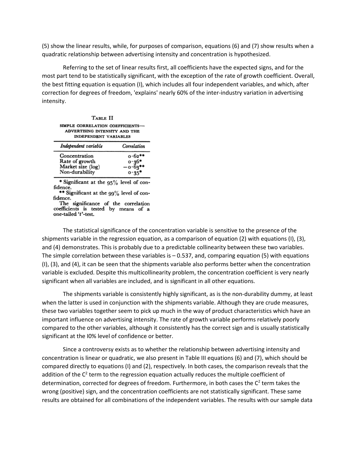(5) show the linear results, while, for purposes of comparison, equations (6) and (7) show results when a quadratic relationship between advertising intensity and concentration is hypothesized.

 Referring to the set of linear results first, all coefficients have the expected signs, and for the most part tend to be statistically significant, with the exception of the rate of growth coefficient. Overall, the best fitting equation is equation (I), which includes all four independent variables, and which, after correction for degrees of freedom, 'explains' nearly 60% of the inter-industry variation in advertising intensity.

| TABLE II<br>SIMPLE CORRELATION COEFFICIENTS-<br>ADVERTISING INTENSITY AND THE<br><b>INDEPENDENT VARIABLES</b> |                    |
|---------------------------------------------------------------------------------------------------------------|--------------------|
| Independent variable                                                                                          | Correlation        |
| Concentration                                                                                                 | $0.62**$           |
| Rate of growth                                                                                                |                    |
| Market size (log)<br>Non-durability                                                                           | $0.36*$<br>-0.63** |
|                                                                                                               |                    |

 $*$  Significant at the 95% level of confidence.

 $*$  Significant at the  $99\%$  level of con-<br>fidence. The significance of the correlation

coefficients is tested by means of a one-tailed 't'-test.

 The statistical significance of the concentration variable is sensitive to the presence of the and (4) demonstrates. This is probably due to a predictable collinearity between these two variables. shipments variable in the regression equation, as a comparison of equation (2) with equations (I), (3), The simple correlation between these variables is – 0.537, and, comparing equation (5) with equations (I), (3), and (4), it can be seen that the shipments variable also performs better when the concentration variable is excluded. Despite this multicollinearity problem, the concentration coefficient is very nearly significant when all variables are included, and is significant in all other equations.

 when the latter is used in conjunction with the shipments variable. Although they are crude measures, these two variables together seem to pick up much in the way of product characteristics which have an important influence on advertising intensity. The rate of growth variable performs relatively poorly compared to the other variables, although it consistently has the correct sign and is usually statistically The shipments variable is consistently highly significant, as is the non-durability dummy, at least significant at the I0% level of confidence or better.

 concentration is linear or quadratic, we also present in Table III equations (6) and (7), which should be determination, corrected for degrees of freedom. Furthermore, in both cases the  $C^2$  term takes the Since a controversy exists as to whether the relationship between advertising intensity and compared directly to equations (I) and (2), respectively. In both cases, the comparison reveals that the addition of the  $C^2$  term to the regression equation actually reduces the multiple coefficient of wrong (positive) sign, and the concentration coefficients are not statistically significant. These same results are obtained for all combinations of the independent variables. The results with our sample data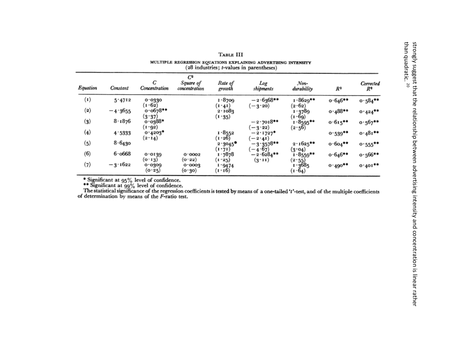|                   |                                                                                                            |                             |                                     | TABLE III                  |                          |                            |            |                             |
|-------------------|------------------------------------------------------------------------------------------------------------|-----------------------------|-------------------------------------|----------------------------|--------------------------|----------------------------|------------|-----------------------------|
|                   | MULTIPLE REGRESSION EQUATIONS EXPLAINING ADVERTISING INTENSITY<br>(28 industries; t-values in parentheses) |                             |                                     |                            |                          |                            |            |                             |
| Equation          | Constant                                                                                                   | C<br>Concentration          | $C^2$<br>Square of<br>concentration | Rate of<br>growth          | Log<br>shipments         | Non-<br>durability         | $R^2$      | Corrected<br>R <sup>2</sup> |
| $\left( 1\right)$ | 5.4712                                                                                                     | 0.0330                      |                                     | 1.8709                     | $-2.6368**$              | $1.8629**$                 | $0.646**$  | $0.584**$                   |
| $\left( 2\right)$ | $-4.3655$                                                                                                  | (1.62)<br>$0.0678**$        |                                     | $(1 \cdot 41)$<br>2.1083   | ( — 3 · 20)              | (2.62)<br>1 3789           | $0.488**$  | $0.424**$                   |
| $(3)$             | 8.1876                                                                                                     | (3.37)<br>o.o388*<br>(1092) |                                     | (1.35)                     | $-2.7018**$<br>$(-3.22)$ | (1.69)<br>$1.8595**$       | $0.615***$ | $0.567***$                  |
| (4)               | 4:5333                                                                                                     | $0.4203*$<br>(2.14)         |                                     | 1.8552<br>(1.26)           | $-2.1727$ *              | (2.56)                     | $0.539**$  | $0.481**$                   |
| (5)               | 8.6430                                                                                                     |                             |                                     | $2.3045$ <sup>*</sup>      | $(-2.41)$<br>$-3.3578**$ | $2.1625***$                | $0.604***$ | $0.555***$                  |
| (6)               | 6.0668                                                                                                     | 0.0139                      | 0.0003                              | (1.71)<br>$1 \cdot 7878$   | $(-4.67)$<br>$-2.6284**$ | (3.04)<br>$1.8559**$       | $0.646**$  | $0.566**$                   |
| (7)               | $-3.1622$                                                                                                  | (0.13)<br>0.0309<br>(0.25)  | (0.32)<br>0.0003<br>(o.3o)          | (1.25)<br>1 9474<br>(1.16) | $(3 \cdot 11)$           | (2.55)<br>1.3685<br>(r·64) | $0.490**$  | $0.401**$                   |

\* Significant at  $95\%$  level of confidence.<br>\*\* Significant at  $99\%$  level of confidence.<br>The statistical significance of the regression coefficients is tested by means of a one-tailed 't'-test, and of the multiple coeff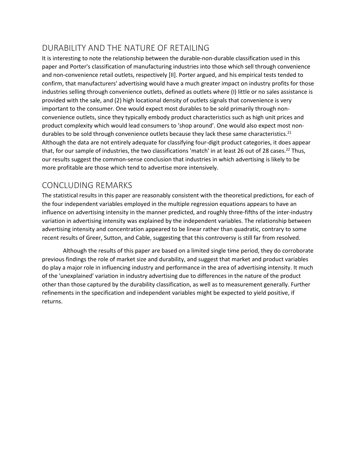## <span id="page-8-0"></span>DURABILITY AND THE NATURE OF RETAILING

 provided with the sale, and (2) high locational density of outlets signals that convenience is very convenience outlets, since they typically embody product characteristics such as high unit prices and product complexity which would lead consumers to 'shop around'. One would also expect most nonthat, for our sample of industries, the two classifications 'match' in at least 26 out of 28 cases.<sup>22</sup> Thus, It is interesting to note the relationship between the durable-non-durable classification used in this paper and Porter's classification of manufacturing industries into those which sell through convenience and non-convenience retail outlets, respectively [II]. Porter argued, and his empirical tests tended to confirm, that manufacturers' advertising would have a much greater impact on industry profits for those industries selling through convenience outlets, defined as outlets where (I) little or no sales assistance is important to the consumer. One would expect most durables to be sold primarily through nondurables to be sold through convenience outlets because they lack these same characteristics.<sup>21</sup> Although the data are not entirely adequate for classifying four-digit product categories, it does appear our results suggest the common-sense conclusion that industries in which advertising is likely to be more profitable are those which tend to advertise more intensively.

## <span id="page-8-1"></span>CONCLUDING REMARKS

 The statistical results in this paper are reasonably consistent with the theoretical predictions, for each of the four independent variables employed in the multiple regression equations appears to have an influence on advertising intensity in the manner predicted, and roughly three-fifths of the inter-industry variation in advertising intensity was explained by the independent variables. The relationship between advertising intensity and concentration appeared to be linear rather than quadratic, contrary to some recent results of Greer, Sutton, and Cable, suggesting that this controversy is still far from resolved.

 previous findings the role of market size and durability, and suggest that market and product variables do play a major role in influencing industry and performance in the area of advertising intensity. It much other than those captured by the durability classification, as well as to measurement generally. Further Although the results of this paper are based on a limited single time period, they do corroborate of the 'unexplained' variation in industry advertising due to differences in the nature of the product refinements in the specification and independent variables might be expected to yield positive, if returns.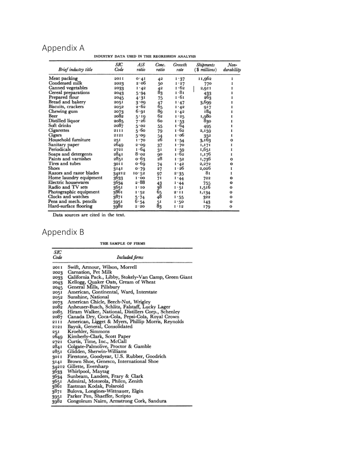## <span id="page-9-0"></span>Appendix A

| INDUSTRY DATA USED IN THE REGRESSION ANALYSIS |             |              |                |                |                            |                       |
|-----------------------------------------------|-------------|--------------|----------------|----------------|----------------------------|-----------------------|
| Brief industry title                          | SІC<br>Code | A/S<br>ratio | Conc.<br>ratio | Growth<br>rate | Shipments<br>(\$ millions) | $N$ on-<br>durability |
| Meat packing                                  | 2011        | 0.41         | 42             | 1.37           | 11,962                     | I                     |
| Condensed milk                                | 2023        | 2.06         | 50             | 1.27           | 770                        |                       |
| Canned vegetables                             | 2033        | 1 · 42       | 42             | 1.62           | 2,911                      | 1                     |
| Cereal preparations                           | 2043        | 5.94         | 83             | 1.81           | 433                        |                       |
| Prepared flour                                | 2045        | 4.31         | 75             | 1.61           | 263                        |                       |
| Bread and bakery                              | 205 I       | 3.09         | 47             | $1 - 47$       | 3,699                      | 1                     |
| Biscuits, crackers                            | 2052        | 2.62         | 65             | 1.42           | 917                        |                       |
| Chewing gum                                   | 2073        | 6.91         | 89             | 1.42           | 184                        |                       |
| Beer                                          | 2082        | 5.19         | 62             | 1.25           | 1,980                      | 1                     |
| Distilled liquor                              | 2085        | 7-26         | 60             | 1.53           | 830                        |                       |
| Soft drinks                                   | 2087        | 5.02         | 55             | 1.64           | 495                        | 1                     |
| Cigarettes                                    | 2111        | 5.60         | 79             | 1 . 62         | 2,159                      |                       |
| Cigars                                        | 2121        | 5.09         | 54             | 1 · 06         | 352                        | 1                     |
| Household furniture                           | 251         | 1.70         | 26             | 1.54           | 3,163                      | о                     |
| Sanitary paper                                | 2649        | 3.00         | 37             | 1 · 70         | 1,171                      | 1                     |
| Periodicals                                   | 272 I       | 1.64         | 31             | 1.59           | 1,651                      | I                     |
| Soaps and detergents                          | 2841        | 8.02         | 90             | 1.62           | 1,176                      | 1                     |
| Paints and varnishes                          | 2851        | о 63         | 28             | 1.52           | 1,736                      | o                     |
| Tires and tubes                               | 30 I I      | o 69         | 74             | 1.42           | 2,272                      | о                     |
| Shoes                                         | 3141        | o·79         | 27             | 1 · 26         | 2,026                      | 1                     |
| Razors and razor blades                       | 34212       | 10.52        | 97             | 2.35           | 81                         | 1                     |
| Home laundry equipment                        | 3633        | 1.00         | 71             | 1.44           | 722                        | o                     |
| Electric housewares                           | 3634        | 2.88         | 43             | 1.44           | 755                        | o                     |
| Radio and TV sets                             | 3651        | 1.10         | 38             | 1-51           | 1,516                      | o                     |
| Photographic equipment                        | 3861        | 1 - 52       | 65<br>48       | 2.11           | 1,134                      | o                     |
| Clocks and watches                            | 3871        | 5.74         |                | 1.55           | 322                        | ο                     |
| Pens and mech. pencils                        | 3951        | 6.54         | 51             | 1 . 50         | 143                        | О                     |
| Hard-surface flooring                         | 3982        | 2.20         | 83             | 1.12           | 179                        | o                     |

Data sources are cited in the text.

## <span id="page-9-1"></span>Appendix B

THE SAMPLE OF FIRMS

| SIC         |                                                        |
|-------------|--------------------------------------------------------|
| Code        | Included firms                                         |
| 20I I       | Swift, Armour, Wilson, Morrell                         |
| 2023        | Carnation, Pet Milk                                    |
| 2033        | California Pack., Libby, Stokely-Van Camp, Green Giant |
| 2043        | Kellogg, Quaker Oats, Cream of Wheat                   |
| 2045        | General Mills, Pillsbury                               |
| 2051        | American, Continental, Ward, Interstate                |
| 2052        | Sunshine, National                                     |
| 2073        | American Chicle, Beech-Nut, Wrigley                    |
| 2082        | Anheuser-Busch, Schlitz, Falstaff, Lucky Lager         |
| 2085        | Hiram Walker, National, Distillers Corp., Schenley     |
| 2087        | Canada Dry, Coca-Cola, Pepsi-Cola, Royal Crown         |
| 2111        | American, Ligget & Myers, Phillip Morris, Reynolds     |
| 2121        | Bayuk, General, Consolidated                           |
| 251         | Kroehler, Simmons                                      |
| 2649        | Kimberly-Clark, Scott Paper                            |
| 2721        | Curtis, Time, Inc., McCall                             |
| 2841        | Colgate-Palmolive, Proctor & Gamble                    |
| 2851        | Glidden, Sherwin-Williams                              |
| <b>1109</b> | Firestone, Goodyear, U.S. Rubber, Goodrich             |
| 3141        | Brown Shoe, Genesco, International Shoe                |
| 34212       | Gillette, Eversharp                                    |
| 3633        | Whirlpool, Maytag                                      |
| 3634        | Sunbeam, Landers, Frary & Clark                        |
| 3651        | Admiral, Motorola, Philco, Zenith                      |
| 3861        | Eastman Kodak, Polaroid                                |
| 3871        | Bulova, Longines-Wittnauer, Elgin                      |
| 3951        | Parker Pen, Shaeffer, Scripto                          |
| 3982        | Congoleum Nairn, Armstrong Cork, Sandura               |

- 
- 
- 
- 
- 
- 
- 
- 
- 
- 
- 
- 
- 
- 
-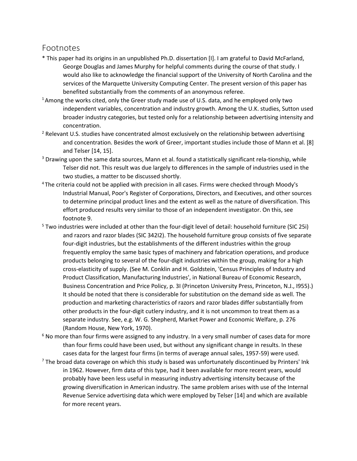#### <span id="page-10-0"></span>Footnotes

- \* This paper had its origins in an unpublished Ph.D. dissertation [I]. I am grateful to David McFarland, George Douglas and James Murphy for helpful comments during the course of that study. I would also like to acknowledge the financial support of the University of North Carolina and the services of the Marquette University Computing Center. The present version of this paper has
- benefited substantially from the comments of an anonymous referee.<br><sup>1</sup> Among the works cited, only the Greer study made use of U.S. data, and he employed only two broader industry categories, but tested only for a relationship between advertising intensity and independent variables, concentration and industry growth. Among the U.K. studies, Sutton used
- concentration.<br><sup>2</sup> Relevant U.S. studies have concentrated almost exclusively on the relationship between advertising and concentration. Besides the work of Greer, important studies include those of Mann et al. [8] and Telser [14, 15].
- Telser did not. This result was due largely to differences in the sample of industries used in the <sup>3</sup> Drawing upon the same data sources, Mann et al. found a statistically significant rela-tionship, while
- two studies, a matter to be discussed shortly.<br><sup>4</sup> The criteria could not be applied with precision in all cases. Firms were checked through Moody's to determine principal product lines and the extent as well as the nature of diversification. This effort produced results very similar to those of an independent investigator. On this, see Industrial Manual, Poor's Register of Corporations, Directors, and Executives, and other sources
- footnote 9. 5 Two industries were included at other than the four-digit level of detail: household furniture (SIC 25i) four-digit industries, but the establishments of the different industries within the group cross-elasticity of supply. (See M. Conklin and H. Goldstein, 'Census Principles of Industry and It should be noted that there is considerable for substitution on the demand side as well. The and razors and razor blades (SIC 342I2). The household furniture group consists of five separate frequently employ the same basic types of machinery and fabrication operations, and produce products belonging to several of the four-digit industries within the group, making for a high Product Classification, Manufacturing Industries', in National Bureau of Economic Research, Business Concentration and Price Policy, p. 3I (Princeton University Press, Princeton, N.J., I955).) production and marketing characteristics of razors and razor blades differ substantially from other products in the four-digit cutlery industry, and it is not uncommon to treat them as a separate industry. See, e.g. W. G. Shepherd, Market Power and Economic Welfare, p. 276 (Random House, New York, 1970).
- than four firms could have been used, but without any significant change in results. In these cases data for the largest four firms (in terms of average annual sales, 1957-59) were used. <sup>6</sup> No more than four firms were assigned to any industry. In a very small number of cases data for more
- cases data for the largest four firms (in terms of average annual sales, 1957-59) were used.<br>The broad data coverage on which this study is based was unfortunately discontinued by Printers' Ink growing diversification in American industry. The same problem arises with use of the Internal in 1962. However, firm data of this type, had it been available for more recent years, would probably have been less useful in measuring industry advertising intensity because of the Revenue Service advertising data which were employed by Telser [14] and which are available for more recent years.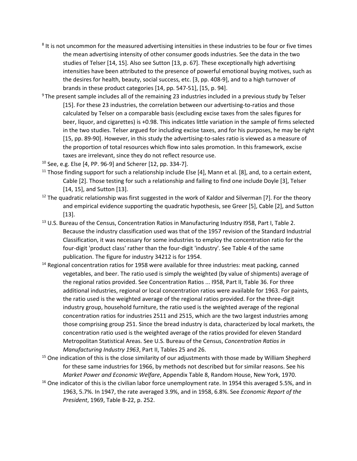- the mean advertising intensity of other consumer goods industries. See the data in the two intensities have been attributed to the presence of powerful emotional buying motives, such as <sup>8</sup> It is not uncommon for the measured advertising intensities in these industries to be four or five times studies of Telser [14, 15]. Also see Sutton [13, p. 67]. These exceptionally high advertising the desires for health, beauty, social success, etc. [3, pp. 408-9], and to a high turnover of brands in these product categories [14, pp. 547-51], [15, p. 94].
- [15, pp. 89-90]. However, in this study the advertising-to-sales ratio is viewed as a measure of  $9$ The present sample includes all of the remaining 23 industries included in a previous study by Telser [15]. For these 23 industries, the correlation between our advertising-to-ratios and those calculated by Telser on a comparable basis (excluding excise taxes from the sales figures for beer, liquor, and cigarettes) is +0.98. This indicates little variation in the sample of firms selected in the two studies. Telser argued for including excise taxes, and for his purposes, he may be right the proportion of total resources which flow into sales promotion. In this framework, excise taxes are irrelevant, since they do not reflect resource use.
- 
- <sup>10</sup> See, e.g. Else [4, PP. 96-9] and Scherer [12, pp. 334-7].<br><sup>11</sup> Those finding support for such a relationship include Else [4], Mann et al. [8], and, to a certain extent, Cable [2]. Those testing for such a relationship and failing to find one include Doyle [3], Telser
- [14, 15], and Sutton [13].<br><sup>12</sup> The quadratic relationship was first suggested in the work of Kaldor and Silverman [7]. For the theory and empirical evidence supporting the quadratic hypothesis, see Greer [5], Cable [2], and Sutton [13].
- <sup>13</sup> U.S. Bureau of the Census, Concentration Ratios in Manufacturing Industry I958, Part I, Table 2. Classification, it was necessary for some industries to employ the concentration ratio for the four-digit 'product class' rather than the four-digit 'industry'. See Table 4 of the same Because the industry classification used was that of the 1957 revision of the Standard Industrial publication. The figure for industry 34212 is for 1954.<br><sup>14</sup> Regional concentration ratios for 1958 were available for three industries: meat packing, canned
- Metropolitan Statistical Areas. See U.S. Bureau of the Census, *Concentration Ratios in*  Manufacturing Industry 1963, Part II, Tables 25 and 26. vegetables, and beer. The ratio used is simply the weighted (by value of shipments) average of the regional ratios provided. See Concentration Ratios ... I958, Part II, Table 36. For three additional industries, regional or local concentration ratios were available for 1963. For paints, the ratio used is the weighted average of the regional ratios provided. For the three-digit industry group, household furniture, the ratio used is the weighted average of the regional concentration ratios for industries 2511 and 2515, which are the two largest industries among those comprising group 251. Since the bread industry is data, characterized by local markets, the concentration ratio used is the weighted average of the ratios provided for eleven Standard
- *Manufacturing Industry 1963, Part II, Tables 25 and 26.* 15 One indication of this is the close similarity of our adjustments with those made by William Shepherd for these same industries for 1966, by methods not described but for similar reasons. See his *Market Power and Economic Welfare*, Appendix Table 8, Random House, New York, 1970.<br><sup>16</sup> One indicator of this is the civilian labor force unemployment rate. In 1954 this averaged 5.5%, and in
- 1963, 5.7%. In 1947, the rate averaged 3.9%, and in 1958, 6.8%. See *Economic Report of the President*, 1969, Table B-22, p. 252.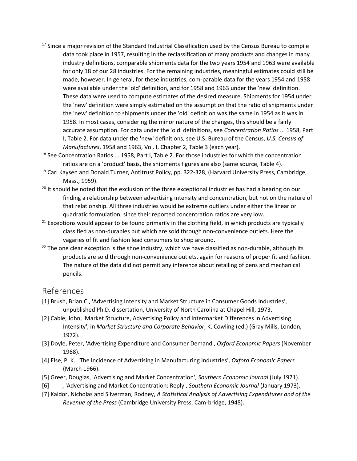- made, however. In general, for these industries, com-parable data for the years 1954 and 1958 were available under the 'old' definition, and for 1958 and 1963 under the 'new' definition. These data were used to compute estimates of the desired measure. Shipments for 1954 under the 'new' definition were simply estimated on the assumption that the ratio of shipments under the 'new' definition to shipments under the 'old' definition was the same in 1954 as it was in 1958. In most cases, considering the minor nature of the changes, this should be a fairly *Manufactures*, 1958 and 1963, Vol. I, Chapter 2, Table 3 (each year). <sup>17</sup> Since a major revision of the Standard Industrial Classification used by the Census Bureau to compile data took place in 1957, resulting in the reclassification of many products and changes in many industry definitions, comparable shipments data for the two years 1954 and 1963 were available for only 18 of our 28 industries. For the remaining industries, meaningful estimates could still be accurate assumption. For data under the 'old' definitions, see *Concentration Ratios* ... 1958, Part I, Table 2. For data under the 'new' definitions, see U.S. Bureau of the Census, *U.S. Census of*
- $18$  See Concentration Ratios ... 1958, Part I, Table 2. For those industries for which the concentration ratios are on a 'product' basis, the shipments figures are also (same source, Table 4).
- <sup>19</sup> Carl Kaysen and Donald Turner, Antitrust Policy, pp. 322-328, (Harvard University Press, Cambridge, Mass., 1959).
- finding a relationship between advertising intensity and concentration, but not on the nature of  $20$  It should be noted that the exclusion of the three exceptional industries has had a bearing on our that relationship. All three industries would be extreme outliers under either the linear or quadratic formulation, since their reported concentration ratios are very low.<br><sup>21</sup> Exceptions would appear to be found primarily in the clothing field, in which products are typically
- classified as non-durables but which are sold through non-convenience outlets. Here the
- vagaries of fit and fashion lead consumers to shop around.<br><sup>22</sup> The one clear exception is the shoe industry, which we have classified as non-durable, although its The nature of the data did not permit any inference about retailing of pens and mechanical products are sold through non-convenience outlets, again for reasons of proper fit and fashion. pencils.

#### <span id="page-12-0"></span>References

- unpublished Ph.D. dissertation, University of North Carolina at Chapel Hill, 1973. [1] Brush, Brian C., 'Advertising Intensity and Market Structure in Consumer Goods Industries',
- [2] Cable, John, 'Market Structure, Advertising Policy and Intermarket Differences in Advertising Intensity', in *Market Structure and Corporate Behavior*, K. Cowling (ed.) (Gray Mills, London, 1972).
- [3] Doyle, Peter, 'Advertising Expenditure and Consumer Demand', *Oxford Economic Papers* (November 1968).
- [4] Else, P. K., 'The Incidence of Advertising in Manufacturing Industries', *Oxford Economic Papers*  (March 1966).
- [5] Greer, Douglas, 'Advertising and Market Concentration', *Southern Economic Journal* (July 1971).
- [6] ------, 'Advertising and Market Concentration: Reply', *Southern Economic Journal* (January 1973).
- [7] Kaldor, Nicholas and Silverman, Rodney, *A Statistical Analysis of Advertising Expenditures and of the Revenue of the Press* (Cambridge University Press, Cam-bridge, 1948).